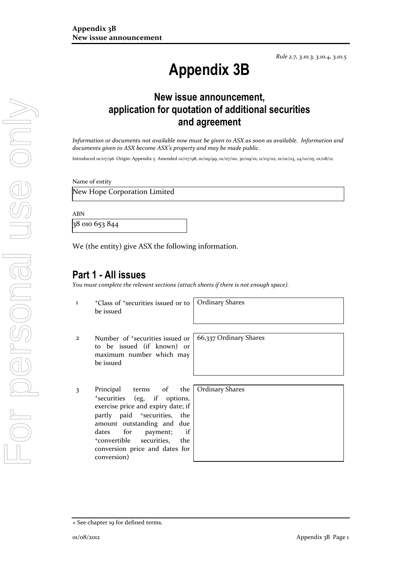*Rule 2.7, 3.10.3, 3.10.4, 3.10.5*

# **Appendix 3B**

## **New issue announcement, application for quotation of additional securities and agreement**

*Information or documents not available now must be given to ASX as soon as available. Information and documents given to ASX become ASX's property and may be made public.*

Introduced 01/07/96 Origin: Appendix 5 Amended 01/07/98, 01/09/99, 01/07/00, 30/09/01, 11/03/02, 01/01/03, 24/10/05, 01/08/12

Name of entity

New Hope Corporation Limited

ABN

38 010 653 844

We (the entity) give ASX the following information.

### **Part 1 - All issues**

*You must complete the relevant sections (attach sheets if there is not enough space).*

1 <sup>+</sup>Class of +securities issued or to be issued

Ordinary Shares

- 2 Number of +securities issued or to be issued (if known) or maximum number which may be issued
- 3 Principal terms of the <sup>+</sup>securities (eg, if options, exercise price and expiry date; if partly paid <sup>+</sup>securities, the amount outstanding and due dates for payment; if <sup>+</sup>convertible securities, the conversion price and dates for conversion)

66,337 Ordinary Shares

Ordinary Shares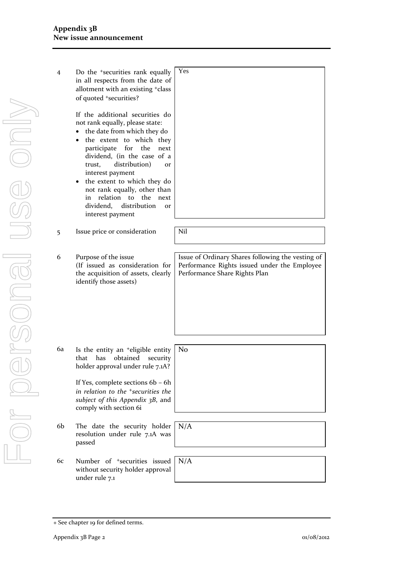| 4  | Do the <sup>+</sup> securities rank equally<br>in all respects from the date of<br>allotment with an existing <sup>+</sup> class<br>of quoted +securities?<br>If the additional securities do<br>not rank equally, please state:<br>the date from which they do<br>the extent to which they<br>$\bullet$<br>for the<br>participate<br>next<br>dividend, (in the case of a<br>distribution)<br>trust,<br>Оľ<br>interest payment<br>the extent to which they do<br>٠<br>not rank equally, other than<br>relation<br>$\mathsf{to}$<br>the<br>in<br>next<br>distribution<br>dividend,<br>or<br>interest payment | Yes                                                                                                                                |
|----|-------------------------------------------------------------------------------------------------------------------------------------------------------------------------------------------------------------------------------------------------------------------------------------------------------------------------------------------------------------------------------------------------------------------------------------------------------------------------------------------------------------------------------------------------------------------------------------------------------------|------------------------------------------------------------------------------------------------------------------------------------|
|    |                                                                                                                                                                                                                                                                                                                                                                                                                                                                                                                                                                                                             | Nil                                                                                                                                |
| 5  | Issue price or consideration                                                                                                                                                                                                                                                                                                                                                                                                                                                                                                                                                                                |                                                                                                                                    |
|    |                                                                                                                                                                                                                                                                                                                                                                                                                                                                                                                                                                                                             |                                                                                                                                    |
| 6  | Purpose of the issue<br>(If issued as consideration for<br>the acquisition of assets, clearly<br>identify those assets)                                                                                                                                                                                                                                                                                                                                                                                                                                                                                     | Issue of Ordinary Shares following the vesting of<br>Performance Rights issued under the Employee<br>Performance Share Rights Plan |
|    |                                                                                                                                                                                                                                                                                                                                                                                                                                                                                                                                                                                                             |                                                                                                                                    |
| 6a | Is the entity an <sup>+</sup> eligible entity<br>obtained<br>that<br>has<br>security<br>holder approval under rule 7.1A?<br>If Yes, complete sections 6b - 6h<br>in relation to the <sup>+</sup> securities the<br>subject of this Appendix 3B, and<br>comply with section 6i                                                                                                                                                                                                                                                                                                                               | N <sub>0</sub>                                                                                                                     |
|    |                                                                                                                                                                                                                                                                                                                                                                                                                                                                                                                                                                                                             |                                                                                                                                    |
| 6b | The date the security holder<br>resolution under rule 7.1A was<br>passed                                                                                                                                                                                                                                                                                                                                                                                                                                                                                                                                    | N/A                                                                                                                                |
|    |                                                                                                                                                                                                                                                                                                                                                                                                                                                                                                                                                                                                             |                                                                                                                                    |
| 6c | Number of <sup>+</sup> securities issued<br>without security holder approval                                                                                                                                                                                                                                                                                                                                                                                                                                                                                                                                | N/A                                                                                                                                |

under rule 7.1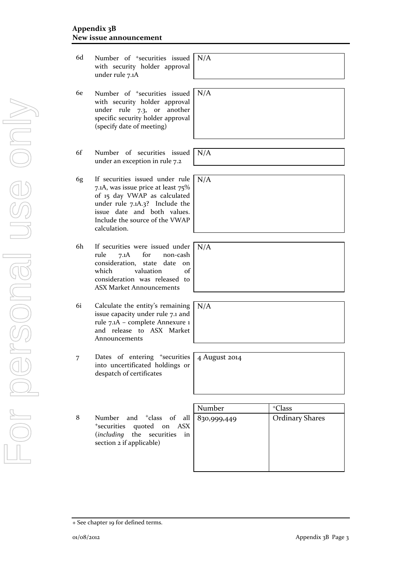+ See chapter 19 for defined terms.

- 6d Number of +securities issued with security holder approval under rule 7.1A
- 6e Number of +securities issued with security holder approval under rule 7.3, or another specific security holder approval (specify date of meeting)
- 6f Number of securities issued under an exception in rule 7.2
- 6g If securities issued under rule 7.1A, was issue price at least 75% of 15 day VWAP as calculated under rule 7.1A.3? Include the issue date and both values. Include the source of the VWAP calculation.
- 6h If securities were issued under<br>rule 7.1A for non-cash rule 7.1A for non-cash consideration, state date on which valuation of consideration was released to ASX Market Announcements
- 6i Calculate the entity's remaining issue capacity under rule 7.1 and rule 7.1A – complete Annexure 1 and release to ASX Market Announcements
- 7 Dates of entering <sup>+</sup>securities into uncertificated holdings or despatch of certificates

8 Number and <sup>+</sup>class of all <sup>+</sup>securities quoted on ASX (*including* the securities in section 2 if applicable)

| Number      | <sup>+</sup> Class     |
|-------------|------------------------|
| 830,999,449 | <b>Ordinary Shares</b> |
|             |                        |
|             |                        |
|             |                        |
|             |                        |
|             |                        |

N/A

N/A

N/A

N/A

4 August 2014

N/A

N/A

For personal use only VILOPERSONSE SE ONS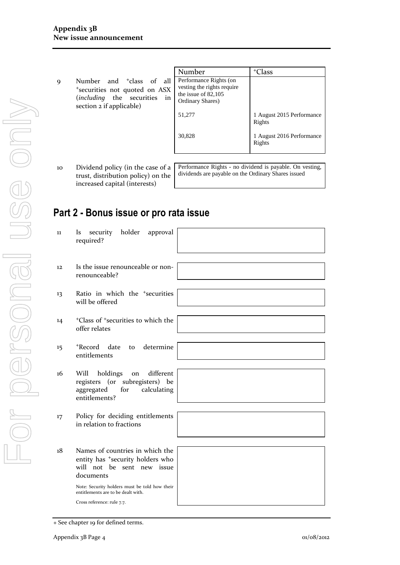9 Number and <sup>+</sup>class of al <sup>+</sup>securities not quoted on ASX (*including* the securities in section 2 if applicable)

|              | Number                                                                                            | Class                               |
|--------------|---------------------------------------------------------------------------------------------------|-------------------------------------|
| 11<br>X<br>n | Performance Rights (on<br>vesting the rights require<br>the issue of $82,105$<br>Ordinary Shares) |                                     |
|              | 51,277                                                                                            | 1 August 2015 Performance<br>Rights |
|              | 30,828                                                                                            | 1 August 2016 Performance<br>Rights |

10 Dividend policy (in the case of a trust, distribution policy) on the increased capital (interests)

Performance Rights - no dividend is payable. On vesting, dividends are payable on the Ordinary Shares issued

# **Part 2 - Bonus issue or pro rata issue**

| 11                | security holder<br>approval<br><i>Is</i><br>required?                                                                                                                                                 |  |
|-------------------|-------------------------------------------------------------------------------------------------------------------------------------------------------------------------------------------------------|--|
| $12 \overline{ }$ | Is the issue renounceable or non-<br>renounceable?                                                                                                                                                    |  |
| 13                | Ratio in which the <sup>+</sup> securities<br>will be offered                                                                                                                                         |  |
| 14                | <sup>+</sup> Class of <sup>+</sup> securities to which the<br>offer relates                                                                                                                           |  |
| 15                | +Record<br>to determine<br>date<br>entitlements                                                                                                                                                       |  |
| 16                | different<br>Will<br>holdings<br>on<br>registers (or subregisters) be<br>calculating<br>aggregated<br>for<br>entitlements?                                                                            |  |
| 17                | Policy for deciding entitlements<br>in relation to fractions                                                                                                                                          |  |
| 18                | Names of countries in which the<br>entity has *security holders who<br>will not be sent new issue<br>documents<br>Note: Security holders must be told how their<br>entitlements are to be dealt with. |  |
|                   | Cross reference: rule 7.7.                                                                                                                                                                            |  |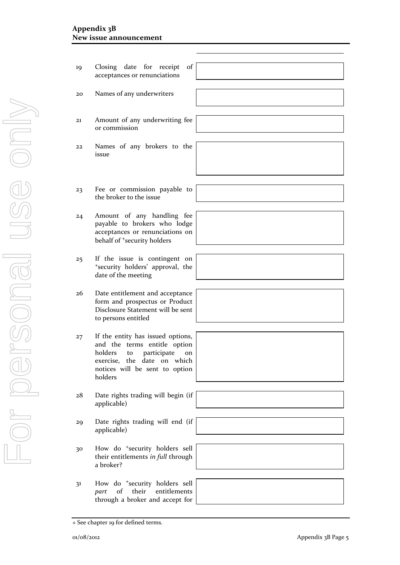#### **Appendix 3B New issue announcement**

- 19 Closing date for receipt of acceptances or renunciations
	- 20 Names of any underwriters
	- 21 Amount of any underwriting fee or commission
	- 22 Names of any brokers to the issue
	- 23 Fee or commission payable to the broker to the issue
	- 24 Amount of any handling fee payable to brokers who lodge acceptances or renunciations on behalf of <sup>+</sup>security holders
	- 25 If the issue is contingent on <sup>+</sup>security holders' approval, the date of the meeting
	- 26 Date entitlement and acceptance form and prospectus or Product Disclosure Statement will be sent to persons entitled
	- 27 If the entity has issued options, and the terms entitle option holders to participate on exercise, the date on which notices will be sent to option holders
	- 28 Date rights trading will begin (if applicable)
	- 29 Date rights trading will end (if applicable)
	- 30 How do <sup>+</sup>security holders sell their entitlements *in full* through a broker?
	- 31 How do <sup>+</sup>security holders sell *part* of their entitlements through a broker and accept for

<sup>+</sup> See chapter 19 for defined terms.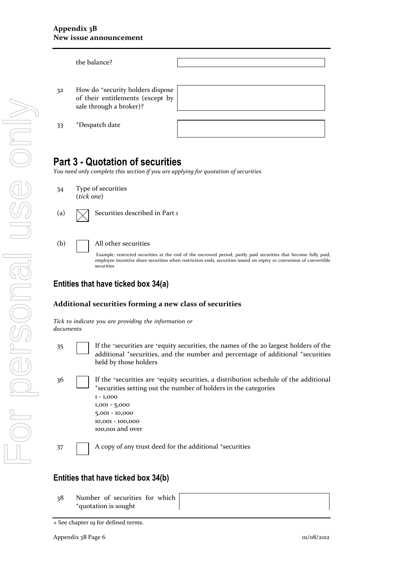|    | the balance?                                                                                                |  |
|----|-------------------------------------------------------------------------------------------------------------|--|
| 32 | How do <sup>+</sup> security holders dispose<br>of their entitlements (except by<br>sale through a broker)? |  |
| 33 | <sup>+</sup> Despatch date                                                                                  |  |

# **Part 3 - Quotation of securities**

*You need only complete this section if you are applying for quotation of securities*





(a)  $\sqrt{\phantom{a}}$  Securities described in Part 1



Example: restricted securities at the end of the escrowed period, partly paid securities that become fully paid, employee incentive share securities when restriction ends, securities issued on expiry or conversion of convertible securities

### **Entities that have ticked box 34(a)**

#### **Additional securities forming a new class of securities**

*Tick to indicate you are providing the information or documents*

- 
- 35 If the <sup>+</sup>securities are <sup>+</sup>equity securities, the names of the 20 largest holders of the additional <sup>+</sup>securities, and the number and percentage of additional <sup>+</sup>securities held by those holders
- 36 If the <sup>+</sup>securities are <sup>+</sup>equity securities, a distribution schedule of the additional <sup>+</sup>securities setting out the number of holders in the categories 1 - 1,000 1,001 - 5,000 5,001 - 10,000 10,001 - 100,000 100,001 and over 37 A copy of any trust deed for the additional +securities

### **Entities that have ticked box 34(b)**

38 Number of securities for which <sup>+</sup>quotation is sought

<sup>+</sup> See chapter 19 for defined terms.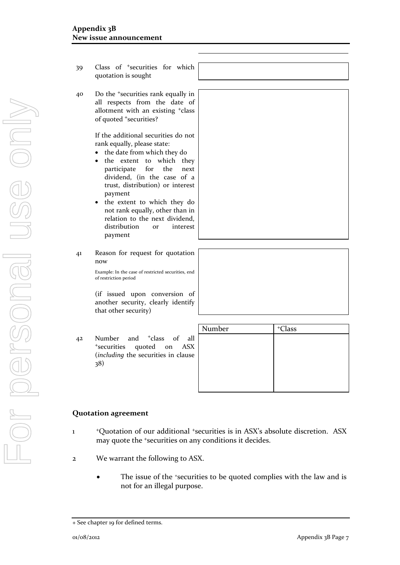39 Class of <sup>+</sup>securities for which quotation is sought 40 Do the <sup>+</sup>securities rank equally in all respects from the date of allotment with an existing <sup>+</sup>class of quoted <sup>+</sup>securities? If the additional securities do not rank equally, please state: the date from which they do the extent to which they participate for the next dividend, (in the case of a trust, distribution) or interest payment the extent to which they do not rank equally, other than in relation to the next dividend, distribution or interest payment 41 Reason for request for quotation now Example: In the case of restricted securities, end of restriction period

(if issued upon conversion of another security, clearly identify that other security)

42 Number and <sup>+</sup>class of all <sup>+</sup>securities quoted on ASX (*including* the securities in clause 38)

| Number | <sup>+</sup> Class |
|--------|--------------------|
|        |                    |
|        |                    |
|        |                    |
|        |                    |
|        |                    |
|        |                    |

#### **Quotation agreement**

- 1 <sup>+</sup>Quotation of our additional <sup>+</sup>securities is in ASX's absolute discretion. ASX may quote the <sup>+</sup>securities on any conditions it decides.
- 2 We warrant the following to ASX.
	- The issue of the +securities to be quoted complies with the law and is not for an illegal purpose.

<sup>+</sup> See chapter 19 for defined terms.